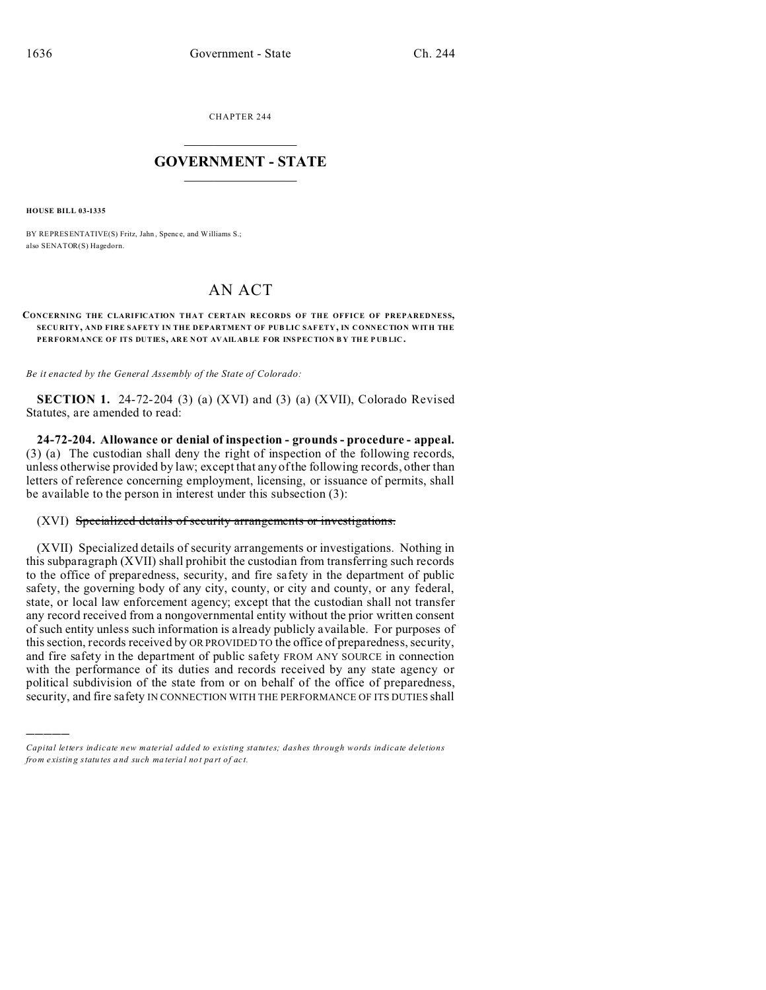CHAPTER 244  $\overline{\phantom{a}}$  , where  $\overline{\phantom{a}}$ 

## **GOVERNMENT - STATE**  $\_$   $\_$

**HOUSE BILL 03-1335**

)))))

BY REPRESENTATIVE(S) Fritz, Jahn, Spence, and Williams S.; also SENATOR(S) Hagedorn.

## AN ACT

## **CONCERNING THE CLARIFICATION THAT CERTAIN RECORDS OF THE OFFICE OF PREPAREDNESS, SECU RITY, AND FIRE SAFETY IN THE DEPARTMENT OF PUB LIC SAFETY, IN CONNECTION WITH THE PERFORMANCE OF ITS DUTIES, ARE NOT AVAILAB LE FOR INSPEC TION B Y THE P UB LIC .**

*Be it enacted by the General Assembly of the State of Colorado:*

**SECTION 1.** 24-72-204 (3) (a) (XVI) and (3) (a) (XVII), Colorado Revised Statutes, are amended to read:

**24-72-204. Allowance or denial of inspection - grounds - procedure - appeal.** (3) (a) The custodian shall deny the right of inspection of the following records, unless otherwise provided by law; except that any of the following records, other than letters of reference concerning employment, licensing, or issuance of permits, shall be available to the person in interest under this subsection (3):

## (XVI) Specialized details of security arrangements or investigations.

(XVII) Specialized details of security arrangements or investigations. Nothing in this subparagraph (XVII) shall prohibit the custodian from transferring such records to the office of preparedness, security, and fire safety in the department of public safety, the governing body of any city, county, or city and county, or any federal, state, or local law enforcement agency; except that the custodian shall not transfer any record received from a nongovernmental entity without the prior written consent of such entity unless such information is already publicly available. For purposes of this section, records received by OR PROVIDED TO the office of preparedness, security, and fire safety in the department of public safety FROM ANY SOURCE in connection with the performance of its duties and records received by any state agency or political subdivision of the state from or on behalf of the office of preparedness, security, and fire safety IN CONNECTION WITH THE PERFORMANCE OF ITS DUTIES shall

*Capital letters indicate new material added to existing statutes; dashes through words indicate deletions from e xistin g statu tes a nd such ma teria l no t pa rt of ac t.*